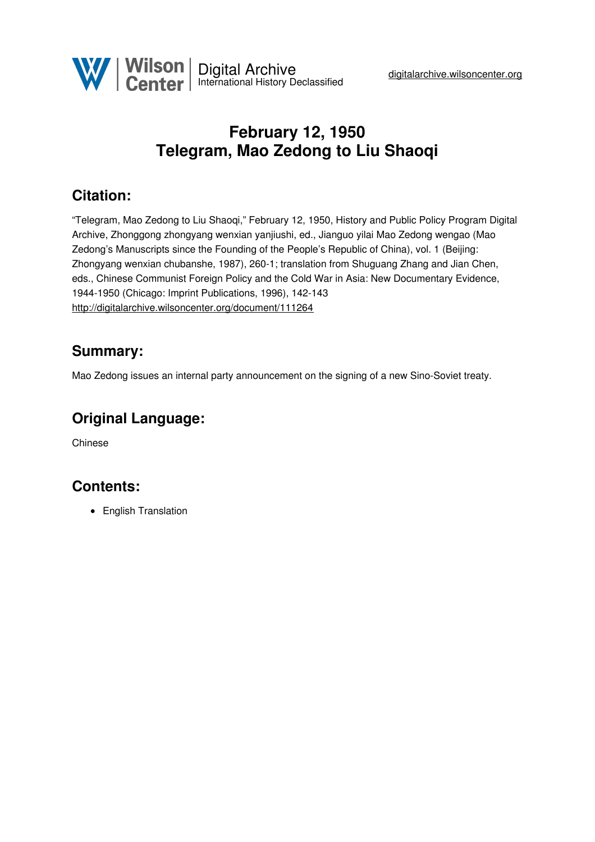

# **February 12, 1950 Telegram, Mao Zedong to Liu Shaoqi**

## **Citation:**

"Telegram, Mao Zedong to Liu Shaoqi," February 12, 1950, History and Public Policy Program Digital Archive, Zhonggong zhongyang wenxian yanjiushi, ed., Jianguo yilai Mao Zedong wengao (Mao Zedong's Manuscripts since the Founding of the People's Republic of China), vol. 1 (Beijing: Zhongyang wenxian chubanshe, 1987), 260-1; translation from Shuguang Zhang and Jian Chen, eds., Chinese Communist Foreign Policy and the Cold War in Asia: New Documentary Evidence, 1944-1950 (Chicago: Imprint Publications, 1996), 142-143 <http://digitalarchive.wilsoncenter.org/document/111264>

#### **Summary:**

Mao Zedong issues an internal party announcement on the signing of a new Sino-Soviet treaty.

## **Original Language:**

Chinese

### **Contents:**

• English Translation